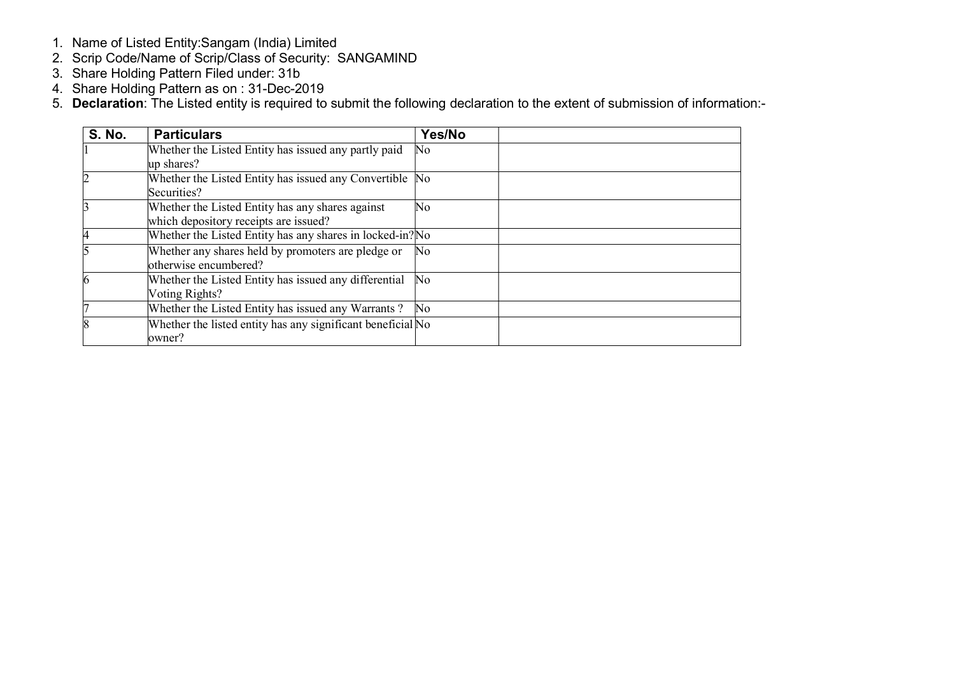- 1. Name of Listed Entity:Sangam (India) Limited
- 2. Scrip Code/Name of Scrip/Class of Security: SANGAMIND
- 3. Share Holding Pattern Filed under: 31b
- 4. Share Holding Pattern as on : 31-Dec-2019
- 5. Declaration: The Listed entity is required to submit the following declaration to the extent of submission of information:-

| <b>S. No.</b> | <b>Particulars</b>                                          | Yes/No                  |  |
|---------------|-------------------------------------------------------------|-------------------------|--|
|               | Whether the Listed Entity has issued any partly paid        | No                      |  |
|               | up shares?                                                  |                         |  |
|               | Whether the Listed Entity has issued any Convertible No     |                         |  |
|               | Securities?                                                 |                         |  |
|               | Whether the Listed Entity has any shares against            | No                      |  |
|               | which depository receipts are issued?                       |                         |  |
|               | Whether the Listed Entity has any shares in locked-in? No   |                         |  |
|               | Whether any shares held by promoters are pledge or          | No                      |  |
|               | otherwise encumbered?                                       |                         |  |
|               | Whether the Listed Entity has issued any differential       | $\mathbb{N}^{\text{o}}$ |  |
|               | Voting Rights?                                              |                         |  |
|               | Whether the Listed Entity has issued any Warrants?          | $\mathbb{N}^{\text{o}}$ |  |
|               | Whether the listed entity has any significant beneficial No |                         |  |
|               | owner?                                                      |                         |  |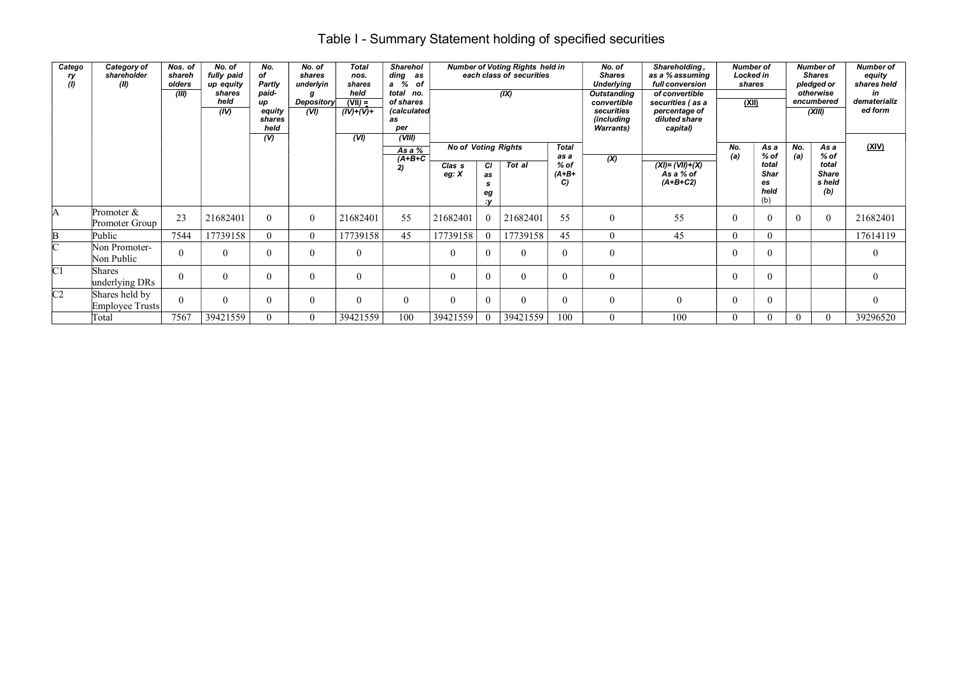## Table I - Summary Statement holding of specified securities

| Catego<br>ry<br>(1) | Category of<br>shareholder<br>(II) | Nos. of<br>shareh<br>olders<br>(III) | No. of<br>fully paid<br>up equity<br>shares<br>held<br>(IV) | No.<br>of<br>Partly<br>paid-<br>up<br>equity<br>shares<br>held<br>(V) | No. of<br>shares<br>underlyin<br><b>Depository</b><br>(VI) | <b>Total</b><br>nos.<br>shares<br>held<br>$(VII) =$<br>$(IV)+(V)+$<br>(VI) | <b>Sharehol</b><br>ding<br>as<br>a %<br>of<br>total no.<br>of shares<br>(calculated<br>as<br>per<br>(VIII) |                              |                                  | <b>Number of Voting Rights held in</b><br>each class of securities<br>(IX) |                         | No. of<br><b>Shares</b><br><b>Underlying</b><br><b>Outstanding</b><br>convertible<br>securities<br>(including<br><b>Warrants</b> ) | Shareholding,<br>as a % assuming<br>full conversion<br>of convertible<br>securities (as a<br>percentage of<br>diluted share<br>capital) | <b>Number of</b><br>Locked in<br>shares<br>(XII) |                                           |            | <b>Number of</b><br><b>Shares</b><br>pledged or<br>otherwise<br>encumbered<br>(XIII) | <b>Number of</b><br>equity<br>shares held<br>in<br>dematerializ<br>ed form |
|---------------------|------------------------------------|--------------------------------------|-------------------------------------------------------------|-----------------------------------------------------------------------|------------------------------------------------------------|----------------------------------------------------------------------------|------------------------------------------------------------------------------------------------------------|------------------------------|----------------------------------|----------------------------------------------------------------------------|-------------------------|------------------------------------------------------------------------------------------------------------------------------------|-----------------------------------------------------------------------------------------------------------------------------------------|--------------------------------------------------|-------------------------------------------|------------|--------------------------------------------------------------------------------------|----------------------------------------------------------------------------|
|                     |                                    |                                      |                                                             |                                                                       |                                                            |                                                                            | $\overline{Asa\%}$                                                                                         | <b>No of Voting Rights</b>   |                                  |                                                                            | Total<br>as a           |                                                                                                                                    |                                                                                                                                         | No.                                              | As a<br>$%$ of                            | No.<br>(a) | As a<br>$%$ of                                                                       | (XIV)                                                                      |
|                     |                                    |                                      |                                                             |                                                                       |                                                            |                                                                            | $(A+B+C)$<br>2)                                                                                            | Clas <sub>s</sub><br>eg: $X$ | <b>CI</b><br>as<br>s<br>eg<br>:v | Tot al                                                                     | $%$ of<br>$(A+B+$<br>C) | $\overline{\mathbf{x}}$                                                                                                            | $(XI) = (VII)+(X)$<br>As a % of<br>$(A+B+C2)$                                                                                           | (a)                                              | total<br><b>Shar</b><br>es<br>held<br>(b) |            | total<br><b>Share</b><br>s held<br>(b)                                               |                                                                            |
| A                   | Promoter &<br>Promoter Group       | 23                                   | 21682401                                                    | 0                                                                     | $\Omega$                                                   | 21682401                                                                   | 55                                                                                                         | 21682401                     | $\theta$                         | 21682401                                                                   | 55                      | $\theta$                                                                                                                           | 55                                                                                                                                      |                                                  |                                           |            | $\theta$                                                                             | 21682401                                                                   |
| B                   | Public                             | 7544                                 | 17739158                                                    | 0                                                                     | $\Omega$                                                   | 17739158                                                                   | 45                                                                                                         | 17739158                     | $\theta$                         | 17739158                                                                   | 45                      | $\Omega$                                                                                                                           | 45                                                                                                                                      | $\Omega$                                         |                                           |            |                                                                                      | 17614119                                                                   |
| C.                  | Non Promoter-<br>Non Public        | $\Omega$                             | $\theta$                                                    | 0                                                                     | $\Omega$                                                   |                                                                            |                                                                                                            | $\theta$                     | $\theta$                         | $\Omega$                                                                   | $\Omega$                | $\theta$                                                                                                                           |                                                                                                                                         |                                                  | $\Omega$                                  |            |                                                                                      | $\theta$                                                                   |
| $\overline{C}1$     | Shares<br>underlying DRs           | $\theta$                             | $\theta$                                                    | $^{(1)}$                                                              | $\Omega$                                                   |                                                                            |                                                                                                            | $\theta$                     | $\theta$                         | $\theta$                                                                   | $\Omega$                | $\theta$                                                                                                                           |                                                                                                                                         |                                                  |                                           |            |                                                                                      | $\mathbf{0}$                                                               |
| $\overline{C2}$     | Shares held by<br>Employee Trusts  | $\theta$                             | $\theta$                                                    | 0                                                                     | $\theta$                                                   | $\Omega$                                                                   | $\Omega$                                                                                                   | $\theta$                     | $\mathbf{0}$                     | $\theta$                                                                   | 0                       | $\theta$                                                                                                                           | $\theta$                                                                                                                                |                                                  | $\Omega$                                  |            |                                                                                      | $\mathbf{0}$                                                               |
|                     | Total                              | 7567                                 | 39421559                                                    |                                                                       | $\Omega$                                                   | 39421559                                                                   | 100                                                                                                        | 39421559                     | $\Omega$                         | 39421559                                                                   | 100                     | $\Omega$                                                                                                                           | 100                                                                                                                                     |                                                  |                                           | $\Omega$   | $\theta$                                                                             | 39296520                                                                   |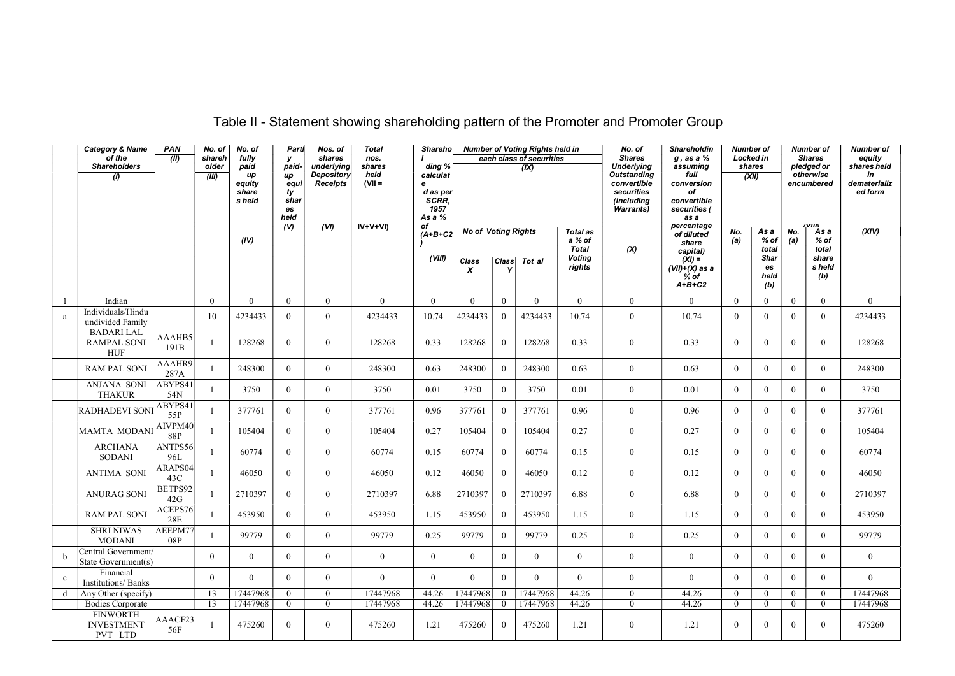|              | <b>Category &amp; Name</b><br>of the<br>Shareholders<br>$\overline{(\theta)}$ | PAN<br>(II)                | No. of<br>shareh<br>older<br>(III) | No. of<br>fullv<br>paid<br>иp<br>equity<br>share<br>s held | Partl<br>y<br>paid-<br>иp<br>equi<br>ty<br>shar<br>es<br>held<br>$\overline{v}$ | Nos. of<br>shares<br>underlying<br><b>Depository</b><br>Receipts<br>(VI) | <b>Total</b><br>nos.<br>shares<br>held<br>$(VII =$<br>$IV+V+VI$ | Sharehol<br>ding %<br>calculat<br>e<br>d as per<br>SCRR,<br>1957<br>As a %<br>of |                                                                |                   | <b>Number of Voting Rights held in</b><br>each class of securities<br>(IX) |                                                        | No. of<br><b>Shares</b><br><b>Underlying</b><br><b>Outstanding</b><br>convertible<br>securities<br>(including<br><b>Warrants</b> ) | <b>Shareholdin</b><br>$g$ , as a $%$<br>assuming<br>full<br>conversion<br>of<br>convertible<br>securities (<br>as a<br>percentage | Number of<br><b>Locked in</b><br>shares | (XII)                                       |                | Number of<br><b>Shares</b><br>pledged or<br>otherwise<br>encumbered<br>$\alpha$ iin | <b>Number of</b><br>equity<br>shares held<br>in<br>dematerializ<br>ed form |
|--------------|-------------------------------------------------------------------------------|----------------------------|------------------------------------|------------------------------------------------------------|---------------------------------------------------------------------------------|--------------------------------------------------------------------------|-----------------------------------------------------------------|----------------------------------------------------------------------------------|----------------------------------------------------------------|-------------------|----------------------------------------------------------------------------|--------------------------------------------------------|------------------------------------------------------------------------------------------------------------------------------------|-----------------------------------------------------------------------------------------------------------------------------------|-----------------------------------------|---------------------------------------------|----------------|-------------------------------------------------------------------------------------|----------------------------------------------------------------------------|
|              |                                                                               |                            |                                    | (IV)                                                       |                                                                                 |                                                                          |                                                                 | $(A+B+C2)$<br>(WIII)                                                             | <b>No of Voting Rights</b><br><b>Class</b><br>$\boldsymbol{x}$ | <b>Class</b><br>Y | Tot al                                                                     | Total as<br>a % of<br>Total<br><b>Voting</b><br>rights | (x)                                                                                                                                | of diluted<br>share<br>capital)<br>$(XI) =$<br>(VII)+(X) as a                                                                     | No.<br>(a)                              | As a<br>% of<br>total<br>Shar<br>es<br>held | No.<br>(a)     | As a<br>$%$ of<br>total<br>share<br>s held                                          | (XIV)                                                                      |
|              |                                                                               |                            |                                    |                                                            |                                                                                 |                                                                          |                                                                 |                                                                                  |                                                                |                   |                                                                            |                                                        |                                                                                                                                    | % of<br>$A+B+C2$                                                                                                                  |                                         | (b)                                         |                | (b)                                                                                 |                                                                            |
|              | Indian                                                                        |                            | $\Omega$                           | $\theta$                                                   | $\theta$                                                                        | $\Omega$                                                                 | $\mathbf{0}$                                                    | $\theta$                                                                         | $\theta$                                                       | $\Omega$          | $\theta$                                                                   | $\theta$                                               | $\overline{0}$                                                                                                                     | $\theta$                                                                                                                          | $\theta$                                | $\overline{0}$                              | $\overline{0}$ | $\mathbf{0}$                                                                        | $\theta$                                                                   |
| a            | Individuals/Hindu<br>undivided Family                                         |                            | 10                                 | 4234433                                                    | $\overline{0}$                                                                  | $\overline{0}$                                                           | 4234433                                                         | 10.74                                                                            | 4234433                                                        | $\mathbf{0}$      | 4234433                                                                    | 10.74                                                  | $\mathbf{0}$                                                                                                                       | 10.74                                                                                                                             | $\theta$                                | $\theta$                                    | $\overline{0}$ | $\theta$                                                                            | 4234433                                                                    |
|              | <b>BADARI LAL</b><br>RAMPAL SONI<br><b>HUF</b>                                | AAAHB5<br>191 <sub>B</sub> | 1                                  | 128268                                                     | $\mathbf{0}$                                                                    | $\overline{0}$                                                           | 128268                                                          | 0.33                                                                             | 128268                                                         | $\mathbf{0}$      | 128268                                                                     | 0.33                                                   | $\mathbf{0}$                                                                                                                       | 0.33                                                                                                                              | $\overline{0}$                          | $\mathbf{0}$                                | $\overline{0}$ | $\mathbf{0}$                                                                        | 128268                                                                     |
|              | <b>RAM PAL SONI</b>                                                           | AAAHR9<br>287A             | 1                                  | 248300                                                     | $\theta$                                                                        | $\Omega$                                                                 | 248300                                                          | 0.63                                                                             | 248300                                                         | $\Omega$          | 248300                                                                     | 0.63                                                   | $\overline{0}$                                                                                                                     | 0.63                                                                                                                              | $\theta$                                | $\theta$                                    | $\theta$       | $\theta$                                                                            | 248300                                                                     |
|              | ANJANA SONI<br><b>THAKUR</b>                                                  | ABYPS41<br>54N             | $\mathbf{1}$                       | 3750                                                       | $\overline{0}$                                                                  | $\overline{0}$                                                           | 3750                                                            | 0.01                                                                             | 3750                                                           | $\overline{0}$    | 3750                                                                       | 0.01                                                   | $\boldsymbol{0}$                                                                                                                   | 0.01                                                                                                                              | $\mathbf{0}$                            | $\mathbf{0}$                                | $\mathbf{0}$   | $\mathbf{0}$                                                                        | 3750                                                                       |
|              | <b>RADHADEVI SONI</b>                                                         | ABYPS41<br>55P             | 1                                  | 377761                                                     | $\overline{0}$                                                                  | $\overline{0}$                                                           | 377761                                                          | 0.96                                                                             | 377761                                                         | $\overline{0}$    | 377761                                                                     | 0.96                                                   | $\mathbf{0}$                                                                                                                       | 0.96                                                                                                                              | $\theta$                                | $\theta$                                    | $\theta$       | $\mathbf{0}$                                                                        | 377761                                                                     |
|              | MAMTA MODANI                                                                  | AIVPM40<br><b>88P</b>      | $\overline{1}$                     | 105404                                                     | $\mathbf{0}$                                                                    | $\mathbf{0}$                                                             | 105404                                                          | 0.27                                                                             | 105404                                                         | $\overline{0}$    | 105404                                                                     | 0.27                                                   | $\boldsymbol{0}$                                                                                                                   | 0.27                                                                                                                              | $\overline{0}$                          | $\theta$                                    | $\mathbf{0}$   | $\mathbf{0}$                                                                        | 105404                                                                     |
|              | <b>ARCHANA</b><br><b>SODANI</b>                                               | ANTPS56<br>96L             | $\mathbf{1}$                       | 60774                                                      | $\overline{0}$                                                                  | $\overline{0}$                                                           | 60774                                                           | 0.15                                                                             | 60774                                                          | $\Omega$          | 60774                                                                      | 0.15                                                   | $\boldsymbol{0}$                                                                                                                   | 0.15                                                                                                                              | $\theta$                                | $\theta$                                    | $\theta$       | $\mathbf{0}$                                                                        | 60774                                                                      |
|              | <b>ANTIMA SONI</b>                                                            | ARAPS04<br>43C             | $\overline{1}$                     | 46050                                                      | $\theta$                                                                        | $\Omega$                                                                 | 46050                                                           | 0.12                                                                             | 46050                                                          | $\overline{0}$    | 46050                                                                      | 0.12                                                   | $\boldsymbol{0}$                                                                                                                   | 0.12                                                                                                                              | $\theta$                                | $\theta$                                    | $\overline{0}$ | $\mathbf{0}$                                                                        | 46050                                                                      |
|              | <b>ANURAG SONI</b>                                                            | BETPS92<br>42G             |                                    | 2710397                                                    | $\theta$                                                                        | $\overline{0}$                                                           | 2710397                                                         | 6.88                                                                             | 2710397                                                        | $\overline{0}$    | 2710397                                                                    | 6.88                                                   | $\mathbf{0}$                                                                                                                       | 6.88                                                                                                                              | $\overline{0}$                          | $\theta$                                    | $\overline{0}$ | $\mathbf{0}$                                                                        | 2710397                                                                    |
|              | <b>RAM PAL SONI</b>                                                           | ACEPS76<br>28E             | 1                                  | 453950                                                     | $\overline{0}$                                                                  | $\overline{0}$                                                           | 453950                                                          | 1.15                                                                             | 453950                                                         | $\overline{0}$    | 453950                                                                     | 1.15                                                   | $\boldsymbol{0}$                                                                                                                   | 1.15                                                                                                                              | $\theta$                                | $\theta$                                    | $\overline{0}$ | $\mathbf{0}$                                                                        | 453950                                                                     |
|              | <b>SHRI NIWAS</b><br><b>MODANI</b>                                            | AEEPM77<br>08P             | $\overline{1}$                     | 99779                                                      | $\theta$                                                                        | $\Omega$                                                                 | 99779                                                           | 0.25                                                                             | 99779                                                          | $\Omega$          | 99779                                                                      | 0.25                                                   | $\mathbf{0}$                                                                                                                       | 0.25                                                                                                                              | $\theta$                                | $\theta$                                    | $\theta$       | $\theta$                                                                            | 99779                                                                      |
| b            | Central Government/<br>State Government(s)                                    |                            | $\Omega$                           | $\theta$                                                   | $\theta$                                                                        | $\theta$                                                                 | $\boldsymbol{0}$                                                | $\theta$                                                                         | $\theta$                                                       | $\theta$          | $\theta$                                                                   | $\theta$                                               | $\overline{0}$                                                                                                                     | $\overline{0}$                                                                                                                    | $\theta$                                | $\theta$                                    | $\theta$       | $\theta$                                                                            | $\overline{0}$                                                             |
| $\mathbf{c}$ | Financial<br><b>Institutions/Banks</b>                                        |                            | $\overline{0}$                     | $\overline{0}$                                             | $\mathbf{0}$                                                                    | $\overline{0}$                                                           | $\mathbf{0}$                                                    | $\overline{0}$                                                                   | $\theta$                                                       | $\theta$          | $\theta$                                                                   | $\mathbf{0}$                                           | $\overline{0}$                                                                                                                     | $\overline{0}$                                                                                                                    | $\overline{0}$                          | $\Omega$                                    | $\overline{0}$ | $\mathbf{0}$                                                                        | $\mathbf{0}$                                                               |
| d            | Any Other (specify)                                                           |                            | 13                                 | 17447968                                                   | $\mathbf{0}$                                                                    | $\overline{0}$                                                           | 17447968                                                        | 44.26                                                                            | 17447968                                                       | $\overline{0}$    | 17447968                                                                   | 44.26                                                  | $\overline{0}$                                                                                                                     | 44.26                                                                                                                             | $\overline{0}$                          | $\mathbf{0}$                                | $\mathbf{0}$   | $\mathbf{0}$                                                                        | 17447968                                                                   |
|              | <b>Bodies Corporate</b>                                                       |                            | 13                                 | 17447968                                                   | $\overline{0}$                                                                  | $\overline{0}$                                                           | 17447968                                                        | 44.26                                                                            | 17447968                                                       | $\overline{0}$    | 17447968                                                                   | 44.26                                                  | $\mathbf{0}$                                                                                                                       | 44.26                                                                                                                             | $\overline{0}$                          | $\mathbf{0}$                                | $\mathbf{0}$   | $\mathbf{0}$                                                                        | 17447968                                                                   |
|              | <b>FINWORTH</b><br><b>INVESTMENT</b><br>PVT LTD                               | AAACF23<br>56F             | -1                                 | 475260                                                     | $\theta$                                                                        | $\Omega$                                                                 | 475260                                                          | 1.21                                                                             | 475260                                                         | $\theta$          | 475260                                                                     | 1.21                                                   | $\mathbf{0}$                                                                                                                       | 1.21                                                                                                                              | $\theta$                                | $\Omega$                                    | $\theta$       | $\theta$                                                                            | 475260                                                                     |

## Table II - Statement showing shareholding pattern of the Promoter and Promoter Group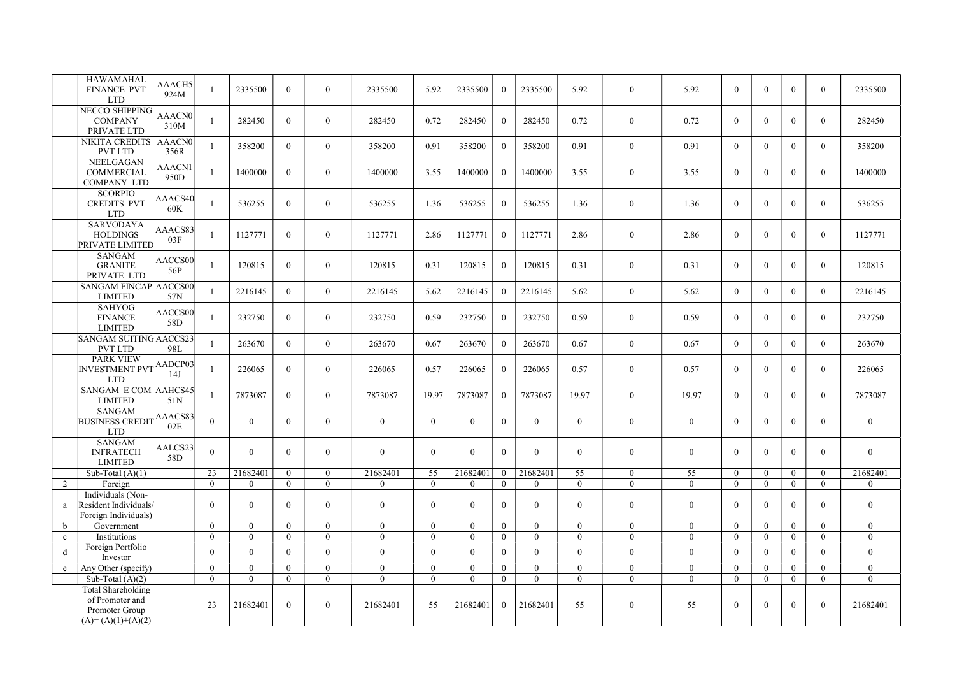|              | <b>HAWAMAHAL</b><br>FINANCE PVT<br><b>LTD</b>                                         | AAACH5<br>924M        | 1              | 2335500          | $\overline{0}$ | $\overline{0}$ | 2335500      | 5.92           | 2335500        | $\overline{0}$ | 2335500      | 5.92           | $\overline{0}$ | 5.92           | $\overline{0}$ | $\theta$       | $\overline{0}$ | $\Omega$         | 2335500          |
|--------------|---------------------------------------------------------------------------------------|-----------------------|----------------|------------------|----------------|----------------|--------------|----------------|----------------|----------------|--------------|----------------|----------------|----------------|----------------|----------------|----------------|------------------|------------------|
|              | NECCO SHIPPING<br><b>COMPANY</b><br>PRIVATE LTD                                       | <b>AAACN0</b><br>310M | $\mathbf{1}$   | 282450           | $\theta$       | $\mathbf{0}$   | 282450       | 0.72           | 282450         | $\theta$       | 282450       | 0.72           | $\mathbf{0}$   | 0.72           | $\theta$       | $\Omega$       | $\theta$       | $\theta$         | 282450           |
|              | <b>NIKITA CREDITS</b><br><b>PVT LTD</b>                                               | <b>AAACN0</b><br>356R | $\mathbf{1}$   | 358200           | $\theta$       | $\overline{0}$ | 358200       | 0.91           | 358200         | $\theta$       | 358200       | 0.91           | $\overline{0}$ | 0.91           | $\theta$       | $\Omega$       | $\theta$       | $\theta$         | 358200           |
|              | NEELGAGAN<br>COMMERCIAL<br><b>COMPANY LTD</b>                                         | AAACN1<br>950D        | $\mathbf{1}$   | 1400000          | $\overline{0}$ | $\mathbf{0}$   | 1400000      | 3.55           | 1400000        | $\overline{0}$ | 1400000      | 3.55           | $\overline{0}$ | 3.55           | $\overline{0}$ | $\Omega$       | $\overline{0}$ | $\Omega$         | 1400000          |
|              | <b>SCORPIO</b><br><b>CREDITS PVT</b><br><b>LTD</b>                                    | AAACS40<br>60K        | $\overline{1}$ | 536255           | $\overline{0}$ | $\mathbf{0}$   | 536255       | 1.36           | 536255         | $\theta$       | 536255       | 1.36           | $\mathbf{0}$   | 1.36           | $\mathbf{0}$   | $\Omega$       | $\theta$       | $\theta$         | 536255           |
|              | SARVODAYA<br><b>HOLDINGS</b><br>PRIVATE LIMITED                                       | AAACS83<br>03F        | 1              | 1127771          | $\overline{0}$ | $\mathbf{0}$   | 1127771      | 2.86           | 1127771        | $\bf{0}$       | 1127771      | 2.86           | $\mathbf{0}$   | 2.86           | $\overline{0}$ | $\Omega$       | $\overline{0}$ | $\mathbf{0}$     | 1127771          |
|              | <b>SANGAM</b><br><b>GRANITE</b><br>PRIVATE LTD                                        | AACCS00<br>56P        | $\mathbf{1}$   | 120815           | $\theta$       | $\mathbf{0}$   | 120815       | 0.31           | 120815         | $\Omega$       | 120815       | 0.31           | $\mathbf{0}$   | 0.31           | $\overline{0}$ | $\Omega$       | $\mathbf{0}$   | $\overline{0}$   | 120815           |
|              | SANGAM FINCAP AACCS00<br><b>LIMITED</b>                                               | 57N                   | $\overline{1}$ | 2216145          | $\overline{0}$ | $\overline{0}$ | 2216145      | 5.62           | 2216145        | $\theta$       | 2216145      | 5.62           | $\overline{0}$ | 5.62           | $\mathbf{0}$   | $\Omega$       | $\overline{0}$ | $\theta$         | 2216145          |
|              | <b>SAHYOG</b><br><b>FINANCE</b><br><b>LIMITED</b>                                     | AACCS00<br>58D        | 1              | 232750           | $\overline{0}$ | $\mathbf{0}$   | 232750       | 0.59           | 232750         | $\overline{0}$ | 232750       | 0.59           | $\overline{0}$ | 0.59           | $\mathbf{0}$   | $\Omega$       | $\overline{0}$ | $\mathbf{0}$     | 232750           |
|              | SANGAM SUITING AACCS23<br><b>PVT LTD</b>                                              | 98L                   | $\overline{1}$ | 263670           | $\mathbf{0}$   | $\mathbf{0}$   | 263670       | 0.67           | 263670         | $\theta$       | 263670       | 0.67           | $\mathbf{0}$   | 0.67           | $\mathbf{0}$   | $\Omega$       | $\mathbf{0}$   | $\Omega$         | 263670           |
|              | <b>PARK VIEW</b><br>INVESTMENT PVT AADCP03<br><b>LTD</b>                              |                       | $\mathbf{1}$   | 226065           | $\overline{0}$ | $\mathbf{0}$   | 226065       | 0.57           | 226065         | $\theta$       | 226065       | 0.57           | $\mathbf{0}$   | 0.57           | $\mathbf{0}$   | $\Omega$       | $\overline{0}$ | $\mathbf{0}$     | 226065           |
|              | <b>SANGAM E COM AAHCS45</b><br><b>LIMITED</b>                                         | 51N                   | $\mathbf{1}$   | 7873087          | $\overline{0}$ | $\mathbf{0}$   | 7873087      | 19.97          | 7873087        | $\overline{0}$ | 7873087      | 19.97          | $\mathbf{0}$   | 19.97          | $\mathbf{0}$   | $\mathbf{0}$   | $\mathbf{0}$   | $\mathbf{0}$     | 7873087          |
|              | <b>SANGAM</b><br><b>BUSINESS CREDIT</b><br><b>LTD</b>                                 | AAACS83<br>02E        | $\theta$       | $\theta$         | $\theta$       | $\mathbf{0}$   | $\mathbf{0}$ | $\theta$       | $\theta$       | $\theta$       | $\theta$     | $\overline{0}$ | $\overline{0}$ | $\overline{0}$ | $\overline{0}$ | $\Omega$       | $\theta$       | $\Omega$         | $\overline{0}$   |
|              | <b>SANGAM</b><br><b>INFRATECH</b><br><b>LIMITED</b>                                   | AALCS23<br>58D        | $\theta$       | $\theta$         | $\overline{0}$ | $\mathbf{0}$   | $\mathbf{0}$ | $\mathbf{0}$   | $\overline{0}$ | $\theta$       | $\theta$     | $\overline{0}$ | $\mathbf{0}$   | $\mathbf{0}$   | $\mathbf{0}$   | $\Omega$       | $\overline{0}$ | $\mathbf{0}$     | $\mathbf{0}$     |
|              | Sub-Total $(A)(1)$                                                                    |                       | 23             | 21682401         | $\mathbf{0}$   | $\overline{0}$ | 21682401     | 55             | 21682401       | $\overline{0}$ | 21682401     | 55             | $\mathbf{0}$   | 55             | $\mathbf{0}$   | $\overline{0}$ | $\overline{0}$ | $\overline{0}$   | 21682401         |
| 2            | Foreign                                                                               |                       | $\mathbf{0}$   | $\mathbf{0}$     | $\overline{0}$ | $\mathbf{0}$   | $\mathbf{0}$ | $\mathbf{0}$   | $\theta$       | $\theta$       | $\mathbf{0}$ | $\overline{0}$ | $\overline{0}$ | $\overline{0}$ | $\overline{0}$ | $\overline{0}$ | $\overline{0}$ | $\overline{0}$   | $\mathbf{0}$     |
| a            | Individuals (Non-<br>Resident Individuals<br>Foreign Individuals)                     |                       | $\theta$       | $\Omega$         | $\theta$       | $\mathbf{0}$   | $\mathbf{0}$ | $\theta$       | $\theta$       | $\theta$       | $\theta$     | $\overline{0}$ | $\mathbf{0}$   | $\overline{0}$ | $\theta$       | $\Omega$       | $\theta$       | $\theta$         | $\overline{0}$   |
| $\mathbf b$  | Government                                                                            |                       | $\overline{0}$ | $\theta$         | $\theta$       | $\mathbf{0}$   | $\mathbf{0}$ | $\mathbf{0}$   | $\overline{0}$ | $\Omega$       | $\mathbf{0}$ | $\overline{0}$ | $\mathbf{0}$   | $\mathbf{0}$   | $\overline{0}$ | $\Omega$       | $\overline{0}$ | $\overline{0}$   | $\overline{0}$   |
| $\mathbf{c}$ | Institutions                                                                          |                       | $\mathbf{0}$   | $\mathbf{0}$     | $\overline{0}$ | $\overline{0}$ | $\mathbf{0}$ | $\mathbf{0}$   | $\Omega$       | $\overline{0}$ | $\mathbf{0}$ | $\overline{0}$ | $\overline{0}$ | $\overline{0}$ | $\overline{0}$ | $\theta$       | $\overline{0}$ | $\overline{0}$   | $\boldsymbol{0}$ |
| d            | Foreign Portfolio<br>Investor                                                         |                       | $\theta$       | $\theta$         | $\theta$       | $\mathbf{0}$   | $\mathbf{0}$ | $\theta$       | $\Omega$       | $\theta$       | $\mathbf{0}$ | $\overline{0}$ | $\overline{0}$ | $\overline{0}$ | $\mathbf{0}$   | $\Omega$       | $\theta$       | $\theta$         | $\mathbf{0}$     |
| e            | Any Other (specify)                                                                   |                       | $\mathbf{0}$   | $\boldsymbol{0}$ | $\mathbf{0}$   | $\mathbf{0}$   | $\mathbf{0}$ | $\mathbf{0}$   | $\mathbf{0}$   | $\overline{0}$ | $\bf{0}$     | $\overline{0}$ | $\mathbf{0}$   | $\mathbf{0}$   | $\mathbf{0}$   | $\mathbf{0}$   | $\mathbf{0}$   | $\boldsymbol{0}$ | $\mathbf{0}$     |
|              | Sub-Total $(A)(2)$                                                                    |                       | $\overline{0}$ | $\Omega$         | $\overline{0}$ | $\mathbf{0}$   | $\Omega$     | $\overline{0}$ | $\overline{0}$ | $\overline{0}$ | $\mathbf{0}$ | $\overline{0}$ | $\overline{0}$ | $\overline{0}$ | $\mathbf{0}$   | $\overline{0}$ | $\overline{0}$ | $\mathbf{0}$     | $\overline{0}$   |
|              | <b>Total Shareholding</b><br>of Promoter and<br>Promoter Group<br>$(A)=(A)(1)+(A)(2)$ |                       | 23             | 21682401         | $\overline{0}$ | $\mathbf{0}$   | 21682401     | 55             | 21682401       | $\theta$       | 21682401     | 55             | $\mathbf{0}$   | 55             | $\mathbf{0}$   | $\Omega$       | $\mathbf{0}$   | $\Omega$         | 21682401         |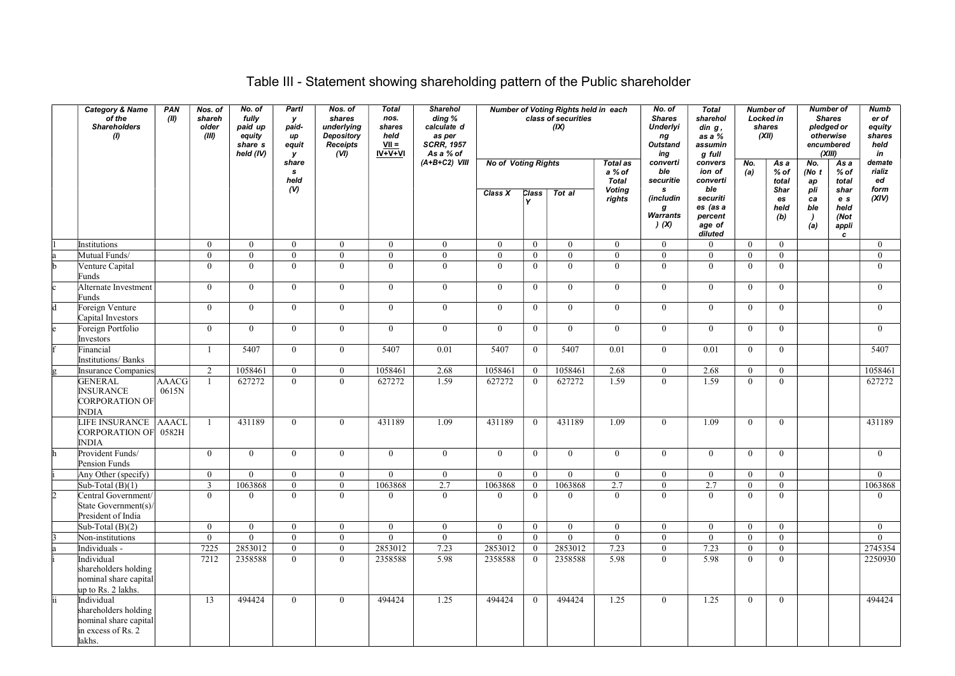## Table III - Statement showing shareholding pattern of the Public shareholder

| <b>Category &amp; Name</b><br>of the<br><b>Shareholders</b><br>(1)                          | PAN<br>(II)    | Nos. of<br>shareh<br>older<br>(III) | No. of<br>fully<br>paid up<br>equity<br>share s<br>held (IV) | Partl<br>у<br>paid-<br>иp<br>equit<br>у    | Nos. of<br>shares<br>underlying<br>Depository<br><b>Receipts</b><br>(VI) | <b>Total</b><br>nos.<br>shares<br>held<br>$VII =$<br>$IV+V+VI$ | <b>Sharehol</b><br>ding %<br>calculate d<br>as per<br><b>SCRR, 1957</b><br>As a % of |                                       |                      | Number of Voting Rights held in each<br>class of securities<br>(IX) |                                                            | No. of<br><b>Shares</b><br><b>Underlyi</b><br>ng<br>Outstand<br>ing | <b>Total</b><br>sharehol<br>$\dim g$ ,<br>as a %<br>assumin<br>g full |                                  | Number of<br><b>Locked in</b><br>shares<br>(XII) |                             | <b>Number of</b><br><b>Shares</b><br>pledged or<br>otherwise<br>encumbered<br>(XIII) | <b>Numb</b><br>er of<br>equity<br>shares<br>held<br>in |
|---------------------------------------------------------------------------------------------|----------------|-------------------------------------|--------------------------------------------------------------|--------------------------------------------|--------------------------------------------------------------------------|----------------------------------------------------------------|--------------------------------------------------------------------------------------|---------------------------------------|----------------------|---------------------------------------------------------------------|------------------------------------------------------------|---------------------------------------------------------------------|-----------------------------------------------------------------------|----------------------------------|--------------------------------------------------|-----------------------------|--------------------------------------------------------------------------------------|--------------------------------------------------------|
|                                                                                             |                |                                     |                                                              | share<br>$\mathbf{s}$<br>held<br>$($ v $)$ |                                                                          |                                                                | $(A+B+C2)$ VIII                                                                      | <b>No of Voting Rights</b><br>Class X | Class                | Tot al                                                              | <b>Total as</b><br>a % of<br><b>Total</b><br><b>Voting</b> | converti<br>ble<br>securitie<br>s.                                  | convers<br>ion of<br>converti<br>ble                                  | No.<br>(a)                       | As a<br>% of<br>total<br>Shar                    | No.<br>(No $t$<br>ap<br>pli | As a<br>% of<br>total<br>shar                                                        | demate<br>rializ<br>ed<br>form                         |
|                                                                                             |                |                                     |                                                              |                                            |                                                                          |                                                                |                                                                                      |                                       |                      |                                                                     | rights                                                     | (includin<br>g<br>Warrants<br>(x)                                   | securiti<br>es (as a<br>percent<br>age of<br>diluted                  |                                  | es<br>held<br>(b)                                | ca<br>ble<br>(a)            | e s<br>held<br>(Not<br>appli<br>$\mathbf{c}$                                         | (XIV)                                                  |
| Institutions                                                                                |                | $\mathbf{0}$                        | $\mathbf{0}$                                                 | $\bf{0}$                                   | $\overline{0}$                                                           | $\mathbf{0}$                                                   | $\bf{0}$                                                                             | $\mathbf{0}$                          | $\bf{0}$             | $\mathbf{0}$                                                        | $\bf{0}$                                                   | $\overline{0}$                                                      | $\overline{0}$                                                        | $\mathbf{0}$                     | $\overline{0}$                                   |                             |                                                                                      | $\mathbf{0}$                                           |
| Mutual Funds/                                                                               |                | $\overline{0}$                      | $\overline{0}$                                               | $\overline{0}$                             | $\Omega$                                                                 | $\theta$                                                       | $\overline{0}$                                                                       | $\mathbf{0}$                          | $\mathbf{0}$         | $\mathbf{0}$                                                        | $\mathbf{0}$                                               | $\mathbf{0}$                                                        | $\overline{0}$                                                        | $\overline{0}$                   | $\overline{0}$                                   |                             |                                                                                      | $\overline{0}$                                         |
| Venture Capital<br>Funds                                                                    |                | $\overline{0}$                      | $\overline{0}$                                               | $\mathbf{0}$                               | $\mathbf{0}$                                                             | $\overline{0}$                                                 | $\mathbf{0}$                                                                         | $\mathbf{0}$                          | $\mathbf{0}$         | $\overline{0}$                                                      | $\overline{0}$                                             | $\overline{0}$                                                      | $\overline{0}$                                                        | $\overline{0}$                   | $\mathbf{0}$                                     |                             |                                                                                      | $\overline{0}$                                         |
| Alternate Investment<br>Funds                                                               |                | $\mathbf{0}$                        | $\mathbf{0}$                                                 | $\mathbf{0}$                               | $\mathbf{0}$                                                             | $\mathbf{0}$                                                   | $\bf{0}$                                                                             | $\mathbf{0}$                          | $\mathbf{0}$         | $\overline{0}$                                                      | $\mathbf{0}$                                               | $\overline{0}$                                                      | $\mathbf{0}$                                                          | $\mathbf{0}$                     | $\bf{0}$                                         |                             |                                                                                      | $\bf{0}$                                               |
| Foreign Venture<br>Capital Investors                                                        |                | $\mathbf{0}$                        | $\overline{0}$                                               | $\mathbf{0}$                               | $\mathbf{0}$                                                             | $\mathbf{0}$                                                   | $\bf{0}$                                                                             | $\mathbf{0}$                          | $\bf{0}$             | $\bf{0}$                                                            | $\mathbf{0}$                                               | $\mathbf{0}$                                                        | $\overline{0}$                                                        | $\overline{0}$                   | $\mathbf{0}$                                     |                             |                                                                                      | $\mathbf{0}$                                           |
| Foreign Portfolio<br>Investors<br>Financial                                                 |                | $\mathbf{0}$<br>$\overline{1}$      | $\mathbf{0}$<br>5407                                         | $\overline{0}$<br>$\overline{0}$           | $\overline{0}$<br>$\overline{0}$                                         | $\mathbf{0}$<br>5407                                           | $\bf{0}$<br>0.01                                                                     | $\bf{0}$<br>5407                      | $\bf{0}$<br>$\bf{0}$ | $\overline{0}$<br>5407                                              | $\mathbf{0}$<br>0.01                                       | $\mathbf{0}$<br>$\overline{0}$                                      | $\mathbf{0}$<br>0.01                                                  | $\overline{0}$<br>$\overline{0}$ | $\mathbf{0}$<br>$\mathbf{0}$                     |                             |                                                                                      | $\overline{0}$<br>5407                                 |
| Institutions/Banks<br><b>Insurance Companies</b>                                            |                | 2                                   | 1058461                                                      | $\mathbf{0}$                               | $\overline{0}$                                                           | 1058461                                                        | 2.68                                                                                 | 1058461                               | $\overline{0}$       | 1058461                                                             | 2.68                                                       | $\overline{0}$                                                      | 2.68                                                                  | $\overline{0}$                   | $\mathbf{0}$                                     |                             |                                                                                      | 1058461                                                |
| <b>GENERAL</b><br><b>INSURANCE</b><br><b>CORPORATION OF</b><br><b>INDIA</b>                 | AAACG<br>0615N | 1                                   | 627272                                                       | $\mathbf{0}$                               | $\theta$                                                                 | 627272                                                         | 1.59                                                                                 | 627272                                | $\overline{0}$       | 627272                                                              | 1.59                                                       | $\overline{0}$                                                      | 1.59                                                                  | $\overline{0}$                   | $\mathbf{0}$                                     |                             |                                                                                      | 627272                                                 |
| LIFE INSURANCE<br>CORPORATION OF 0582H<br><b>INDIA</b>                                      | AAACL          | $\overline{1}$                      | 431189                                                       | $\mathbf{0}$                               | $\theta$                                                                 | 431189                                                         | 1.09                                                                                 | 431189                                | $\overline{0}$       | 431189                                                              | 1.09                                                       | $\overline{0}$                                                      | 1.09                                                                  | $\mathbf{0}$                     | $\mathbf{0}$                                     |                             |                                                                                      | 431189                                                 |
| Provident Funds/<br>Pension Funds                                                           |                | $\mathbf{0}$                        | $\overline{0}$                                               | $\mathbf{0}$                               | $\mathbf{0}$                                                             | $\mathbf{0}$                                                   | $\bf{0}$                                                                             | $\mathbf{0}$                          | $\bf{0}$             | $\bf{0}$                                                            | $\mathbf{0}$                                               | $\overline{0}$                                                      | $\mathbf{0}$                                                          | $\mathbf{0}$                     | $\bf{0}$                                         |                             |                                                                                      | $\overline{0}$                                         |
| Any Other (specify)                                                                         |                | $\overline{0}$                      | $\overline{0}$                                               | $\overline{0}$                             | $\overline{0}$                                                           | $\mathbf{0}$                                                   | $\bf{0}$                                                                             | $\mathbf{0}$                          | $\bf{0}$             | $\overline{0}$                                                      | $\mathbf{0}$                                               | $\overline{0}$                                                      | $\overline{0}$                                                        | $\mathbf{0}$                     | $\mathbf{0}$                                     |                             |                                                                                      | $\overline{0}$                                         |
| Sub-Total $(B)(1)$                                                                          |                | $\overline{3}$                      | 1063868                                                      | $\theta$                                   | $\mathbf{0}$                                                             | 1063868                                                        | 2.7                                                                                  | 1063868                               | $\bf{0}$             | 1063868                                                             | 2.7                                                        | $\mathbf{0}$                                                        | 2.7                                                                   | $\boldsymbol{0}$                 | $\theta$                                         |                             |                                                                                      | 1063868                                                |
| Central Government/<br>State Government(s)<br>President of India                            |                | $\mathbf{0}$                        | $\mathbf{0}$                                                 | $\mathbf{0}$                               | $\mathbf{0}$                                                             | $\Omega$                                                       | $\bf{0}$                                                                             | $\mathbf{0}$                          | $\mathbf{0}$         | $\bf{0}$                                                            | $\mathbf{0}$                                               | $\overline{0}$                                                      | $\mathbf{0}$                                                          | $\overline{0}$                   | $\bf{0}$                                         |                             |                                                                                      | $\overline{0}$                                         |
| Sub-Total $(B)(2)$                                                                          |                | $\mathbf{0}$                        | $\mathbf{0}$                                                 | $\overline{0}$                             | $\Omega$                                                                 | $\mathbf{0}$                                                   | $\bf{0}$                                                                             | $\mathbf{0}$                          | $\bf{0}$             | $\bf{0}$                                                            | $\overline{0}$                                             | $\mathbf{0}$                                                        | $\overline{0}$                                                        | $\mathbf{0}$                     | $\overline{0}$                                   |                             |                                                                                      | $\overline{0}$                                         |
| Non-institutions                                                                            |                | $\overline{0}$                      | $\overline{0}$                                               | $\theta$                                   | $\overline{0}$                                                           | $\mathbf{0}$                                                   | $\overline{0}$                                                                       | $\overline{0}$                        | $\overline{0}$       | $\overline{0}$                                                      | $\overline{0}$                                             | $\overline{0}$                                                      | $\mathbf{0}$                                                          | $\mathbf{0}$                     | $\overline{0}$                                   |                             |                                                                                      | $\mathbf{0}$                                           |
| Individuals -                                                                               |                | 7225                                | 2853012                                                      | $\mathbf{0}$                               | $\overline{0}$                                                           | 2853012                                                        | 7.23                                                                                 | 2853012                               | $\overline{0}$       | 2853012                                                             | 7.23                                                       | $\mathbf{0}$                                                        | 7.23                                                                  | $\overline{0}$                   | $\mathbf{0}$                                     |                             |                                                                                      | 2745354                                                |
| Individual<br>shareholders holding<br>nominal share capital<br>up to Rs. 2 lakhs.           |                | 7212                                | 2358588                                                      | $\mathbf{0}$                               | $\theta$                                                                 | 2358588                                                        | 5.98                                                                                 | 2358588                               | $\overline{0}$       | 2358588                                                             | 5.98                                                       | $\overline{0}$                                                      | 5.98                                                                  | $\overline{0}$                   | $\mathbf{0}$                                     |                             |                                                                                      | 2250930                                                |
| Individual<br>shareholders holding<br>nominal share capital<br>in excess of Rs. 2<br>lakhs. |                | 13                                  | 494424                                                       | $\mathbf{0}$                               | $\theta$                                                                 | 494424                                                         | 1.25                                                                                 | 494424                                | $\overline{0}$       | 494424                                                              | 1.25                                                       | $\theta$                                                            | 1.25                                                                  | $\mathbf{0}$                     | $\overline{0}$                                   |                             |                                                                                      | 494424                                                 |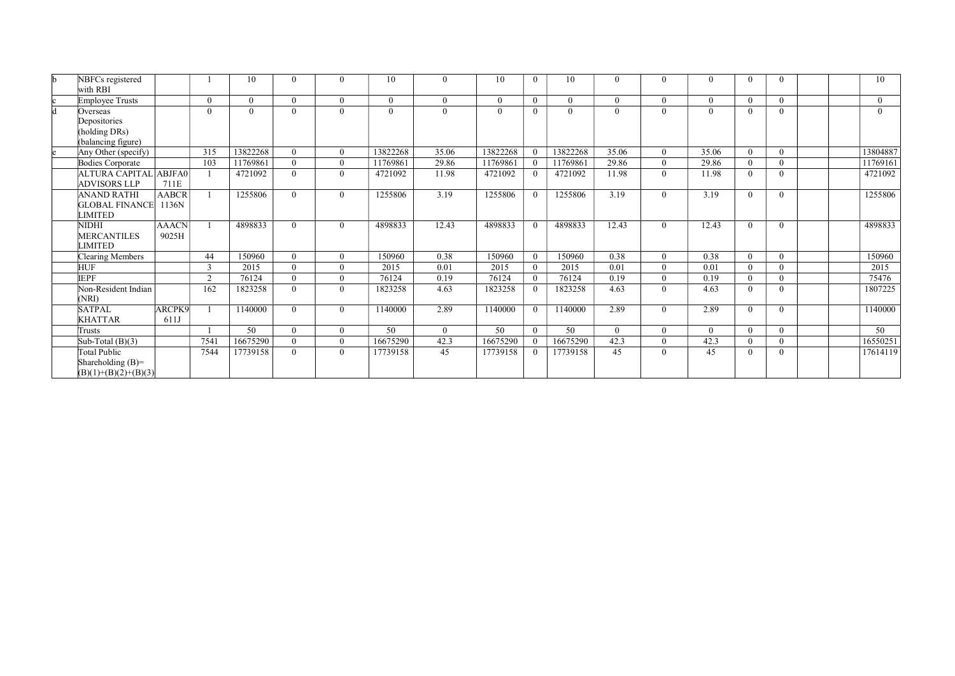| NBFCs registered<br>with RBI                                   |                       |          | 10              | $\Omega$ | $\theta$ | 10       | $\theta$ | 10              |                | 10              | $\Omega$ | 0              | $\theta$ | $\Omega$ | $\overline{0}$ |  | 10       |
|----------------------------------------------------------------|-----------------------|----------|-----------------|----------|----------|----------|----------|-----------------|----------------|-----------------|----------|----------------|----------|----------|----------------|--|----------|
| <b>Employee Trusts</b>                                         |                       | $\theta$ | $\Omega$        | $\theta$ | $\theta$ | $\Omega$ | $\theta$ | $\theta$        | $\overline{0}$ | $\theta$        | $\Omega$ | $\overline{0}$ | $\theta$ | $\Omega$ | $\theta$       |  | $\Omega$ |
| Overseas<br>Depositories<br>holding DRs)<br>(balancing figure) |                       | $\Omega$ | $\theta$        | $\theta$ | $\theta$ | 0        | $\theta$ | $\Omega$        | $\Omega$       | $\Omega$        | $\Omega$ | $\Omega$       | $\theta$ | $\Omega$ | $\theta$       |  | $\Omega$ |
| Any Other (specify)                                            |                       | 315      | 13822268        | $\Omega$ | $\theta$ | 13822268 | 35.06    | 13822268        |                | 13822268        | 35.06    | $\theta$       | 35.06    | $\Omega$ | $\theta$       |  | 13804887 |
| Bodies Corporate                                               |                       | 103      | 11769861        | $\Omega$ | $\theta$ | 11769861 | 29.86    | 11769861        |                | 11769861        | 29.86    | $\theta$       | 29.86    | $\Omega$ | $\Omega$       |  | 11769161 |
| ALTURA CAPITAL ABJFA0<br><b>ADVISORS LLP</b>                   | 711E                  |          | 4721092         | $\theta$ | $\theta$ | 4721092  | 11.98    | 4721092         |                | 4721092         | 11.98    | $\theta$       | 11.98    | $\theta$ | $\theta$       |  | 4721092  |
| <b>ANAND RATHI</b><br>GLOBAL FINANCE <br><b>IMITED</b>         | <b>AABCR</b><br>1136N |          | 1255806         | $\Omega$ | $\theta$ | 1255806  | 3.19     | 1255806         | $\Omega$       | 1255806         | 3.19     | $\theta$       | 3.19     | $\Omega$ | $\theta$       |  | 1255806  |
| NIDHI<br><b>MERCANTILES</b><br>LIMITED                         | <b>AAACN</b><br>9025H |          | 4898833         | $\theta$ | $\theta$ | 4898833  | 12.43    | 4898833         |                | 4898833         | 12.43    | $\theta$       | 12.43    | $\Omega$ | $\theta$       |  | 4898833  |
| Clearing Members                                               |                       | 44       | 150960          | $\Omega$ | $\Omega$ | 150960   | 0.38     | 150960          | $\Omega$       | 150960          | 0.38     | $\theta$       | 0.38     | $\Omega$ | $\theta$       |  | 150960   |
| <b>HUF</b>                                                     |                       | 3        | 2015            | $\theta$ | $\Omega$ | 2015     | 0.01     | 2015            | $\theta$       | 2015            | 0.01     | $\theta$       | 0.01     | $\theta$ | $\theta$       |  | 2015     |
| <b>IEPF</b>                                                    |                       | $\gamma$ | 76124           | $\theta$ | $\theta$ | 76124    | 0.19     | 76124           |                | 76124           | 0.19     | $\Omega$       | 0.19     | $\theta$ | $\theta$       |  | 75476    |
| Non-Resident Indian<br>NRI)                                    |                       | 162      | 1823258         | $\theta$ | $\theta$ | 1823258  | 4.63     | 1823258         |                | 1823258         | 4.63     | $\theta$       | 4.63     | $\Omega$ | $\theta$       |  | 1807225  |
| <b>SATPAL</b><br>KHATTAR                                       | <b>ARCPK9</b><br>611J |          | 1140000         | $\theta$ | $\theta$ | 1140000  | 2.89     | 1140000         | $\theta$       | 1140000         | 2.89     | $\theta$       | 2.89     | $\Omega$ | $\theta$       |  | 1140000  |
| Trusts                                                         |                       |          | $\overline{50}$ | $\Omega$ | $\theta$ | 50       | $\theta$ | $\overline{50}$ | $\Omega$       | $\overline{50}$ | $\Omega$ | $\theta$       | $\theta$ | $\theta$ | $\theta$       |  | 50       |
| Sub-Total $(B)(3)$                                             |                       | 7541     | 16675290        | $\theta$ | $\theta$ | 16675290 | 42.3     | 16675290        |                | 16675290        | 42.3     | $\Omega$       | 42.3     | $\Omega$ | $\theta$       |  | 16550251 |
| Total Public<br>Shareholding (B)=<br>$(B)(1)+(B)(2)+(B)(3)$    |                       | 7544     | 17739158        | $\Omega$ | $\theta$ | 17739158 | 45       | 17739158        |                | 17739158        | 45       | $\Omega$       | 45       | $\Omega$ | $\overline{0}$ |  | 17614119 |